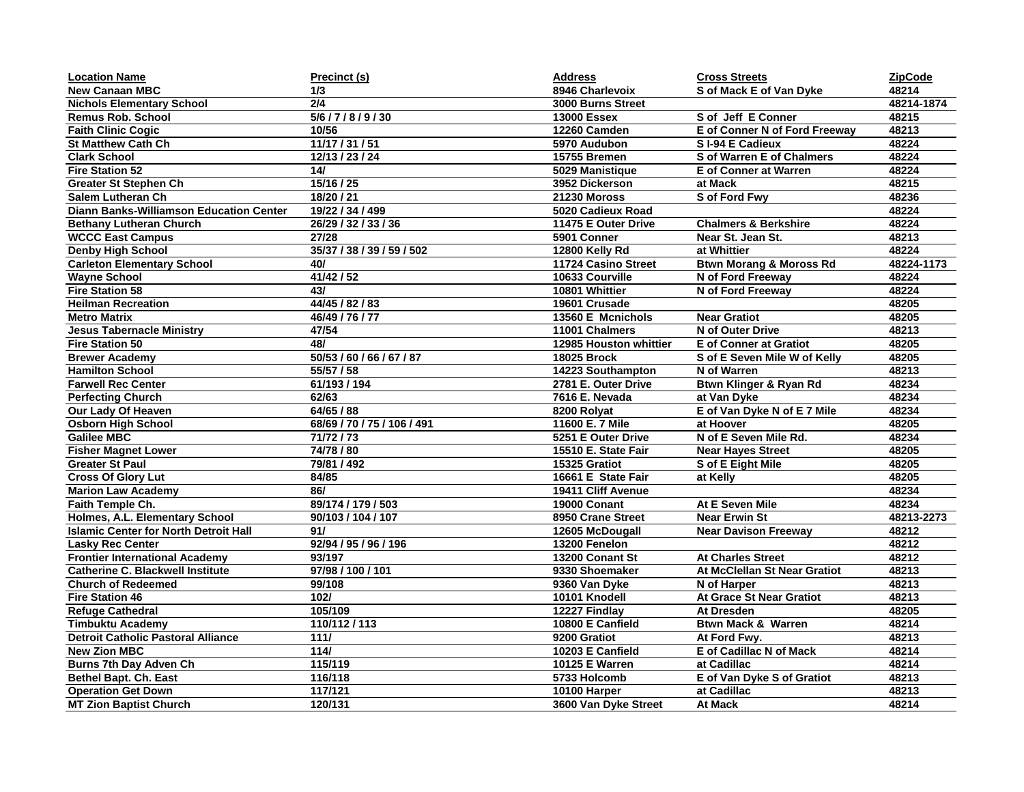| <b>Location Name</b>                           | Precinct (s)                | <b>Address</b>         | <b>Cross Streets</b>               | <b>ZipCode</b> |
|------------------------------------------------|-----------------------------|------------------------|------------------------------------|----------------|
| <b>New Canaan MBC</b>                          | 1/3                         | 8946 Charlevoix        | S of Mack E of Van Dyke            | 48214          |
| <b>Nichols Elementary School</b>               | 2/4                         | 3000 Burns Street      |                                    | 48214-1874     |
| <b>Remus Rob. School</b>                       | 5/6 / 7 / 8 / 9 / 30        | <b>13000 Essex</b>     | S of Jeff E Conner                 | 48215          |
| <b>Faith Clinic Cogic</b>                      | 10/56                       | 12260 Camden           | E of Conner N of Ford Freeway      | 48213          |
| <b>St Matthew Cath Ch</b>                      | 11/17/31/51                 | 5970 Audubon           | SI-94 E Cadieux                    | 48224          |
| <b>Clark School</b>                            | 12/13 / 23 / 24             | 15755 Bremen           | <b>S</b> of Warren E of Chalmers   | 48224          |
| <b>Fire Station 52</b>                         | 14/                         | 5029 Manistique        | <b>E</b> of Conner at Warren       | 48224          |
| <b>Greater St Stephen Ch</b>                   | 15/16/25                    | 3952 Dickerson         | at Mack                            | 48215          |
| <b>Salem Lutheran Ch</b>                       | 18/20 / 21                  | <b>21230 Moross</b>    | S of Ford Fwy                      | 48236          |
| <b>Diann Banks-Williamson Education Center</b> | 19/22 / 34 / 499            | 5020 Cadieux Road      |                                    | 48224          |
| <b>Bethany Lutheran Church</b>                 | 26/29 / 32 / 33 / 36        | 11475 E Outer Drive    | <b>Chalmers &amp; Berkshire</b>    | 48224          |
| <b>WCCC East Campus</b>                        | 27/28                       | 5901 Conner            | Near St. Jean St.                  | 48213          |
| <b>Denby High School</b>                       | 35/37 / 38 / 39 / 59 / 502  | 12800 Kelly Rd         | at Whittier                        | 48224          |
| <b>Carleton Elementary School</b>              | 40/                         | 11724 Casino Street    | <b>Btwn Morang &amp; Moross Rd</b> | 48224-1173     |
| <b>Wayne School</b>                            | 41/42 / 52                  | 10633 Courville        | N of Ford Freeway                  | 48224          |
| <b>Fire Station 58</b>                         | 43/                         | 10801 Whittier         | N of Ford Freeway                  | 48224          |
| <b>Heilman Recreation</b>                      | 44/45 / 82 / 83             | 19601 Crusade          |                                    | 48205          |
| <b>Metro Matrix</b>                            | 46/49 / 76 / 77             | 13560 E Mcnichols      | <b>Near Gratiot</b>                | 48205          |
| <b>Jesus Tabernacle Ministry</b>               | 47/54                       | 11001 Chalmers         | N of Outer Drive                   | 48213          |
| <b>Fire Station 50</b>                         | 48/                         | 12985 Houston whittier | <b>E</b> of Conner at Gratiot      | 48205          |
| <b>Brewer Academy</b>                          | 50/53 / 60 / 66 / 67 / 87   | <b>18025 Brock</b>     | S of E Seven Mile W of Kelly       | 48205          |
| <b>Hamilton School</b>                         | 55/57 / 58                  | 14223 Southampton      | N of Warren                        | 48213          |
| <b>Farwell Rec Center</b>                      | 61/193 / 194                | 2781 E. Outer Drive    | Btwn Klinger & Ryan Rd             | 48234          |
| <b>Perfecting Church</b>                       | 62/63                       | 7616 E. Nevada         | at Van Dyke                        | 48234          |
| <b>Our Lady Of Heaven</b>                      | 64/65 / 88                  | 8200 Rolyat            | E of Van Dyke N of E 7 Mile        | 48234          |
| <b>Osborn High School</b>                      | 68/69 / 70 / 75 / 106 / 491 | 11600 E. 7 Mile        | at Hoover                          | 48205          |
| <b>Galilee MBC</b>                             | 71/72/73                    | 5251 E Outer Drive     | N of E Seven Mile Rd.              | 48234          |
| <b>Fisher Magnet Lower</b>                     | 74/78 / 80                  | 15510 E. State Fair    | <b>Near Hayes Street</b>           | 48205          |
| <b>Greater St Paul</b>                         | 79/81 / 492                 | 15325 Gratiot          | S of E Eight Mile                  | 48205          |
| <b>Cross Of Glory Lut</b>                      | 84/85                       | 16661 E State Fair     | at Kelly                           | 48205          |
| <b>Marion Law Academy</b>                      | 86/                         | 19411 Cliff Avenue     |                                    | 48234          |
| Faith Temple Ch.                               | 89/174 / 179 / 503          | 19000 Conant           | At E Seven Mile                    | 48234          |
| Holmes, A.L. Elementary School                 | 90/103 / 104 / 107          | 8950 Crane Street      | <b>Near Erwin St</b>               | 48213-2273     |
| <b>Islamic Center for North Detroit Hall</b>   | 91/                         | 12605 McDougall        | <b>Near Davison Freeway</b>        | 48212          |
| <b>Lasky Rec Center</b>                        | 92/94 / 95 / 96 / 196       | 13200 Fenelon          |                                    | 48212          |
| <b>Frontier International Academy</b>          | 93/197                      | 13200 Conant St        | <b>At Charles Street</b>           | 48212          |
| <b>Catherine C. Blackwell Institute</b>        | 97/98 / 100 / 101           | 9330 Shoemaker         | At McClellan St Near Gratiot       | 48213          |
| <b>Church of Redeemed</b>                      | 99/108                      | 9360 Van Dyke          | N of Harper                        | 48213          |
| <b>Fire Station 46</b>                         | 102/                        | 10101 Knodell          | <b>At Grace St Near Gratiot</b>    | 48213          |
| <b>Refuge Cathedral</b>                        | 105/109                     | 12227 Findlay          | <b>At Dresden</b>                  | 48205          |
| <b>Timbuktu Academy</b>                        | 110/112 / 113               | 10800 E Canfield       | <b>Btwn Mack &amp; Warren</b>      | 48214          |
| <b>Detroit Catholic Pastoral Alliance</b>      | 111/                        | 9200 Gratiot           | At Ford Fwy.                       | 48213          |
| <b>New Zion MBC</b>                            | 114/                        | 10203 E Canfield       | <b>E</b> of Cadillac N of Mack     | 48214          |
| <b>Burns 7th Day Adven Ch</b>                  | 115/119                     | <b>10125 E Warren</b>  | at Cadillac                        | 48214          |
| Bethel Bapt. Ch. East                          | 116/118                     | 5733 Holcomb           | E of Van Dyke S of Gratiot         | 48213          |
| <b>Operation Get Down</b>                      | 117/121                     | 10100 Harper           | at Cadillac                        | 48213          |
| <b>MT Zion Baptist Church</b>                  | 120/131                     | 3600 Van Dyke Street   | <b>At Mack</b>                     | 48214          |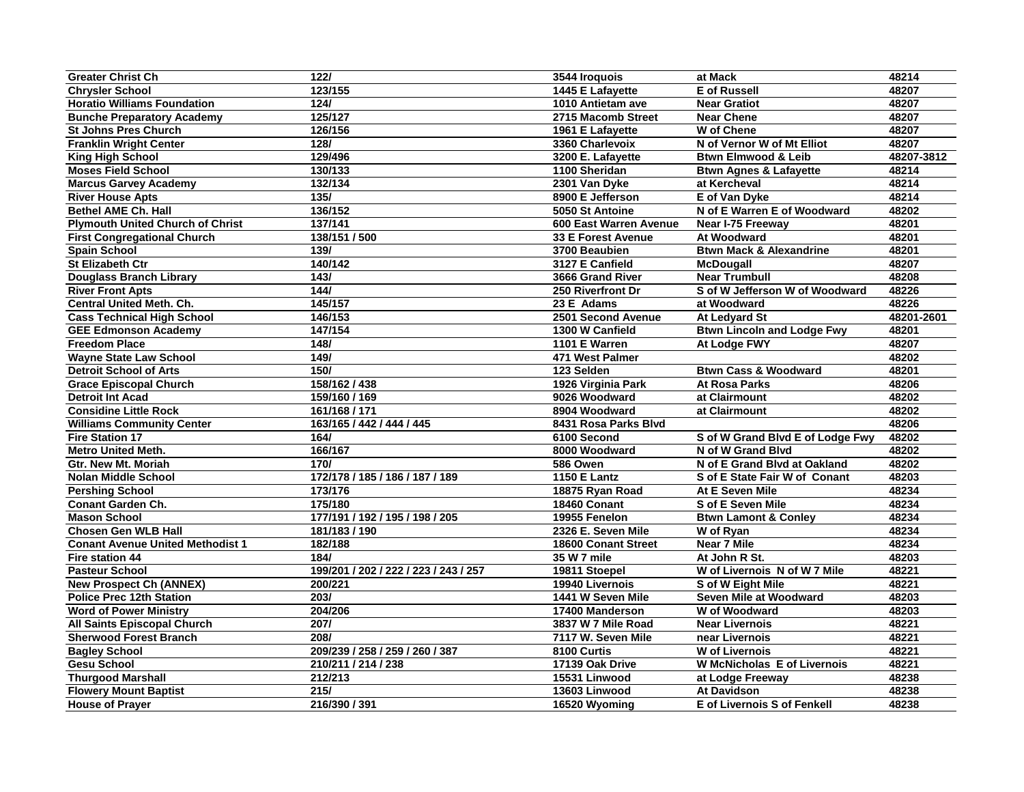| <b>Greater Christ Ch</b>                | 122/                                  | 3544 Iroquois              | at Mack                            | 48214      |
|-----------------------------------------|---------------------------------------|----------------------------|------------------------------------|------------|
| <b>Chrysler School</b>                  | 123/155                               | 1445 E Lafayette           | <b>E</b> of Russell                | 48207      |
| <b>Horatio Williams Foundation</b>      | 124/                                  | 1010 Antietam ave          | <b>Near Gratiot</b>                | 48207      |
| <b>Bunche Preparatory Academy</b>       | 125/127                               | 2715 Macomb Street         | <b>Near Chene</b>                  | 48207      |
| <b>St Johns Pres Church</b>             | 126/156                               | 1961 E Lafayette           | <b>W</b> of Chene                  | 48207      |
| <b>Franklin Wright Center</b>           | 128/                                  | 3360 Charlevoix            | N of Vernor W of Mt Elliot         | 48207      |
| <b>King High School</b>                 | 129/496                               | 3200 E. Lafayette          | <b>Btwn Elmwood &amp; Leib</b>     | 48207-3812 |
| <b>Moses Field School</b>               | 130/133                               | 1100 Sheridan              | <b>Btwn Agnes &amp; Lafayette</b>  | 48214      |
| <b>Marcus Garvey Academy</b>            | 132/134                               | 2301 Van Dyke              | at Kercheval                       | 48214      |
| <b>River House Apts</b>                 | 135/                                  | 8900 E Jefferson           | E of Van Dyke                      | 48214      |
| <b>Bethel AME Ch. Hall</b>              | 136/152                               | 5050 St Antoine            | N of E Warren E of Woodward        | 48202      |
| <b>Plymouth United Church of Christ</b> | 137/141                               | 600 East Warren Avenue     | Near I-75 Freeway                  | 48201      |
| <b>First Congregational Church</b>      | 138/151 / 500                         | <b>33 E Forest Avenue</b>  | <b>At Woodward</b>                 | 48201      |
| <b>Spain School</b>                     | 139/                                  | 3700 Beaubien              | <b>Btwn Mack &amp; Alexandrine</b> | 48201      |
| <b>St Elizabeth Ctr</b>                 | 140/142                               | 3127 E Canfield            | <b>McDougall</b>                   | 48207      |
| <b>Douglass Branch Library</b>          | $\frac{143}{1}$                       | 3666 Grand River           | <b>Near Trumbull</b>               | 48208      |
| <b>River Front Apts</b>                 | 144/                                  | 250 Riverfront Dr          | S of W Jefferson W of Woodward     | 48226      |
| <b>Central United Meth. Ch.</b>         | 145/157                               | 23 E Adams                 | at Woodward                        | 48226      |
| <b>Cass Technical High School</b>       | 146/153                               | 2501 Second Avenue         | <b>At Ledyard St</b>               | 48201-2601 |
| <b>GEE Edmonson Academy</b>             | 147/154                               | 1300 W Canfield            | <b>Btwn Lincoln and Lodge Fwy</b>  | 48201      |
| <b>Freedom Place</b>                    | 148/                                  | 1101 E Warren              | At Lodge FWY                       | 48207      |
| <b>Wayne State Law School</b>           | 149/                                  | 471 West Palmer            |                                    | 48202      |
| <b>Detroit School of Arts</b>           | 150/                                  | 123 Selden                 | <b>Btwn Cass &amp; Woodward</b>    | 48201      |
| <b>Grace Episcopal Church</b>           | 158/162 / 438                         | 1926 Virginia Park         | <b>At Rosa Parks</b>               | 48206      |
| <b>Detroit Int Acad</b>                 | 159/160 / 169                         | 9026 Woodward              | at Clairmount                      | 48202      |
| <b>Considine Little Rock</b>            | 161/168 / 171                         | 8904 Woodward              | at Clairmount                      | 48202      |
| <b>Williams Community Center</b>        | 163/165 / 442 / 444 / 445             | 8431 Rosa Parks Blvd       |                                    | 48206      |
| <b>Fire Station 17</b>                  | 164/                                  | 6100 Second                | S of W Grand Blvd E of Lodge Fwy   | 48202      |
| <b>Metro United Meth.</b>               | 166/167                               | 8000 Woodward              | N of W Grand Blvd                  | 48202      |
| <b>Gtr. New Mt. Moriah</b>              | 170/                                  | 586 Owen                   | N of E Grand Blvd at Oakland       | 48202      |
| <b>Nolan Middle School</b>              | 172/178 / 185 / 186 / 187 / 189       | <b>1150 E Lantz</b>        | S of E State Fair W of Conant      | 48203      |
| <b>Pershing School</b>                  | 173/176                               | 18875 Ryan Road            | At E Seven Mile                    | 48234      |
| Conant Garden Ch.                       | 175/180                               | 18460 Conant               | S of E Seven Mile                  | 48234      |
| <b>Mason School</b>                     | 177/191 / 192 / 195 / 198 / 205       | 19955 Fenelon              | <b>Btwn Lamont &amp; Conley</b>    | 48234      |
| <b>Chosen Gen WLB Hall</b>              | 181/183 / 190                         | 2326 E. Seven Mile         | W of Ryan                          | 48234      |
| <b>Conant Avenue United Methodist 1</b> | 182/188                               | <b>18600 Conant Street</b> | <b>Near 7 Mile</b>                 | 48234      |
| <b>Fire station 44</b>                  | 184/                                  | 35 W 7 mile                | At John R St.                      | 48203      |
| <b>Pasteur School</b>                   | 199/201 / 202 / 222 / 223 / 243 / 257 | 19811 Stoepel              | W of Livernois N of W 7 Mile       | 48221      |
| <b>New Prospect Ch (ANNEX)</b>          | 200/221                               | 19940 Livernois            | S of W Eight Mile                  | 48221      |
| <b>Police Prec 12th Station</b>         | 203/                                  | 1441 W Seven Mile          | Seven Mile at Woodward             | 48203      |
| <b>Word of Power Ministry</b>           | 204/206                               | 17400 Manderson            | W of Woodward                      | 48203      |
| <b>All Saints Episcopal Church</b>      | 207/                                  | 3837 W 7 Mile Road         | <b>Near Livernois</b>              | 48221      |
| <b>Sherwood Forest Branch</b>           | 208/                                  | 7117 W. Seven Mile         | near Livernois                     | 48221      |
| <b>Bagley School</b>                    | 209/239 / 258 / 259 / 260 / 387       | 8100 Curtis                | <b>W</b> of Livernois              | 48221      |
| <b>Gesu School</b>                      | 210/211 / 214 / 238                   | 17139 Oak Drive            | <b>W McNicholas E of Livernois</b> | 48221      |
| <b>Thurgood Marshall</b>                | 212/213                               | 15531 Linwood              | at Lodge Freeway                   | 48238      |
| <b>Flowery Mount Baptist</b>            | 215/                                  | 13603 Linwood              | <b>At Davidson</b>                 | 48238      |
| <b>House of Prayer</b>                  | 216/390 / 391                         | 16520 Wyoming              | E of Livernois S of Fenkell        | 48238      |
|                                         |                                       |                            |                                    |            |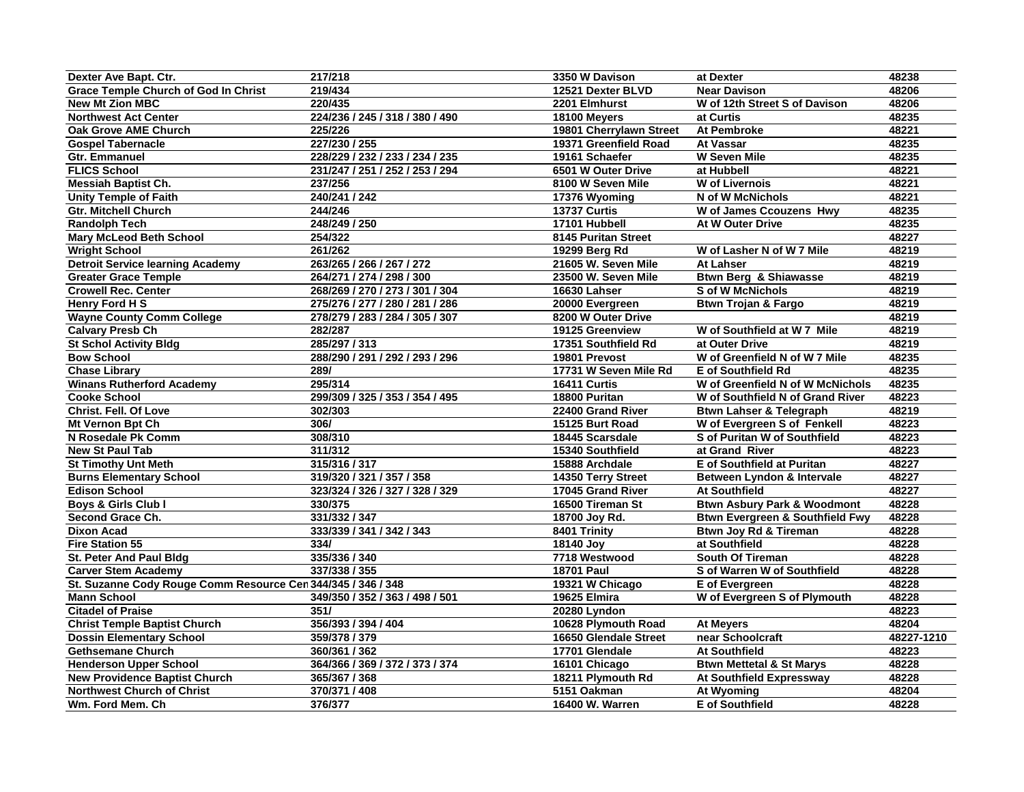| Dexter Ave Bapt. Ctr.                                        | 217/218                         | 3350 W Davison          | at Dexter                                  | 48238      |
|--------------------------------------------------------------|---------------------------------|-------------------------|--------------------------------------------|------------|
| <b>Grace Temple Church of God In Christ</b>                  | 219/434                         | 12521 Dexter BLVD       | <b>Near Davison</b>                        | 48206      |
| <b>New Mt Zion MBC</b>                                       | 220/435                         | 2201 Elmhurst           | W of 12th Street S of Davison              | 48206      |
| <b>Northwest Act Center</b>                                  | 224/236 / 245 / 318 / 380 / 490 | 18100 Meyers            | at Curtis                                  | 48235      |
| Oak Grove AME Church                                         | 225/226                         | 19801 Cherrylawn Street | <b>At Pembroke</b>                         | 48221      |
| <b>Gospel Tabernacle</b>                                     | 227/230 / 255                   | 19371 Greenfield Road   | <b>At Vassar</b>                           | 48235      |
| <b>Gtr. Emmanuel</b>                                         | 228/229 / 232 / 233 / 234 / 235 | 19161 Schaefer          | <b>W Seven Mile</b>                        | 48235      |
| <b>FLICS School</b>                                          | 231/247 / 251 / 252 / 253 / 294 | 6501 W Outer Drive      | at Hubbell                                 | 48221      |
| <b>Messiah Baptist Ch.</b>                                   | 237/256                         | 8100 W Seven Mile       | <b>W</b> of Livernois                      | 48221      |
| <b>Unity Temple of Faith</b>                                 | 240/241 / 242                   | 17376 Wyoming           | N of W McNichols                           | 48221      |
| <b>Gtr. Mitchell Church</b>                                  | 244/246                         | <b>13737 Curtis</b>     | <b>W</b> of James Ccouzens Hwy             | 48235      |
| <b>Randolph Tech</b>                                         | 248/249 / 250                   | 17101 Hubbell           | At W Outer Drive                           | 48235      |
| <b>Mary McLeod Beth School</b>                               | 254/322                         | 8145 Puritan Street     |                                            | 48227      |
| <b>Wright School</b>                                         | 261/262                         | 19299 Berg Rd           | W of Lasher N of W 7 Mile                  | 48219      |
| <b>Detroit Service learning Academy</b>                      | 263/265 / 266 / 267 / 272       | 21605 W. Seven Mile     | At Lahser                                  | 48219      |
| <b>Greater Grace Temple</b>                                  | 264/271 / 274 / 298 / 300       | 23500 W. Seven Mile     | <b>Btwn Berg &amp; Shiawasse</b>           | 48219      |
| <b>Crowell Rec. Center</b>                                   | 268/269 / 270 / 273 / 301 / 304 | 16630 Lahser            | <b>S</b> of W McNichols                    | 48219      |
| <b>Henry Ford H S</b>                                        | 275/276 / 277 / 280 / 281 / 286 | 20000 Evergreen         | <b>Btwn Trojan &amp; Fargo</b>             | 48219      |
| <b>Wayne County Comm College</b>                             | 278/279 / 283 / 284 / 305 / 307 | 8200 W Outer Drive      |                                            | 48219      |
| <b>Calvary Presb Ch</b>                                      | 282/287                         | 19125 Greenview         | W of Southfield at W 7 Mile                | 48219      |
| <b>St Schol Activity Bldg</b>                                | 285/297 / 313                   | 17351 Southfield Rd     | at Outer Drive                             | 48219      |
| <b>Bow School</b>                                            | 288/290 / 291 / 292 / 293 / 296 | 19801 Prevost           | W of Greenfield N of W 7 Mile              | 48235      |
| <b>Chase Library</b>                                         | 289/                            | 17731 W Seven Mile Rd   | <b>E</b> of Southfield Rd                  | 48235      |
| <b>Winans Rutherford Academy</b>                             | 295/314                         | <b>16411 Curtis</b>     | W of Greenfield N of W McNichols           | 48235      |
| <b>Cooke School</b>                                          | 299/309 / 325 / 353 / 354 / 495 | 18800 Puritan           | W of Southfield N of Grand River           | 48223      |
| <b>Christ. Fell. Of Love</b>                                 | 302/303                         | 22400 Grand River       | <b>Btwn Lahser &amp; Telegraph</b>         | 48219      |
| Mt Vernon Bpt Ch                                             | 306/                            | 15125 Burt Road         | W of Evergreen S of Fenkell                | 48223      |
| N Rosedale Pk Comm                                           | 308/310                         | 18445 Scarsdale         | S of Puritan W of Southfield               | 48223      |
| <b>New St Paul Tab</b>                                       | 311/312                         | 15340 Southfield        | at Grand River                             | 48223      |
| <b>St Timothy Unt Meth</b>                                   | 315/316 / 317                   | 15888 Archdale          | E of Southfield at Puritan                 | 48227      |
| <b>Burns Elementary School</b>                               | 319/320 / 321 / 357 / 358       | 14350 Terry Street      | Between Lyndon & Intervale                 | 48227      |
| <b>Edison School</b>                                         | 323/324 / 326 / 327 / 328 / 329 | 17045 Grand River       | <b>At Southfield</b>                       | 48227      |
| Boys & Girls Club I                                          | 330/375                         | 16500 Tireman St        | <b>Btwn Asbury Park &amp; Woodmont</b>     | 48228      |
| Second Grace Ch.                                             | 331/332 / 347                   | 18700 Joy Rd.           | <b>Btwn Evergreen &amp; Southfield Fwy</b> | 48228      |
| <b>Dixon Acad</b>                                            | 333/339 / 341 / 342 / 343       | 8401 Trinity            | Btwn Joy Rd & Tireman                      | 48228      |
| <b>Fire Station 55</b>                                       | 334/                            | 18140 Joy               | at Southfield                              | 48228      |
| <b>St. Peter And Paul Bldg</b>                               | 335/336 / 340                   | 7718 Westwood           | <b>South Of Tireman</b>                    | 48228      |
| <b>Carver Stem Academy</b>                                   | 337/338 / 355                   | <b>18701 Paul</b>       | S of Warren W of Southfield                | 48228      |
| St. Suzanne Cody Rouge Comm Resource Cen 344/345 / 346 / 348 |                                 | 19321 W Chicago         | E of Evergreen                             | 48228      |
| <b>Mann School</b>                                           | 349/350 / 352 / 363 / 498 / 501 | 19625 Elmira            | W of Evergreen S of Plymouth               | 48228      |
| <b>Citadel of Praise</b>                                     | 351/                            | 20280 Lyndon            |                                            | 48223      |
| <b>Christ Temple Baptist Church</b>                          | 356/393 / 394 / 404             | 10628 Plymouth Road     | At Meyers                                  | 48204      |
| <b>Dossin Elementary School</b>                              | 359/378 / 379                   | 16650 Glendale Street   | near Schoolcraft                           | 48227-1210 |
| <b>Gethsemane Church</b>                                     | 360/361 / 362                   | 17701 Glendale          | <b>At Southfield</b>                       | 48223      |
| <b>Henderson Upper School</b>                                | 364/366 / 369 / 372 / 373 / 374 | 16101 Chicago           | <b>Btwn Mettetal &amp; St Marys</b>        | 48228      |
| <b>New Providence Baptist Church</b>                         | 365/367 / 368                   | 18211 Plymouth Rd       | At Southfield Expressway                   | 48228      |
| <b>Northwest Church of Christ</b>                            | 370/371 / 408                   | 5151 Oakman             | <b>At Wyoming</b>                          | 48204      |
| Wm. Ford Mem. Ch                                             | 376/377                         | 16400 W. Warren         | <b>E</b> of Southfield                     | 48228      |
|                                                              |                                 |                         |                                            |            |